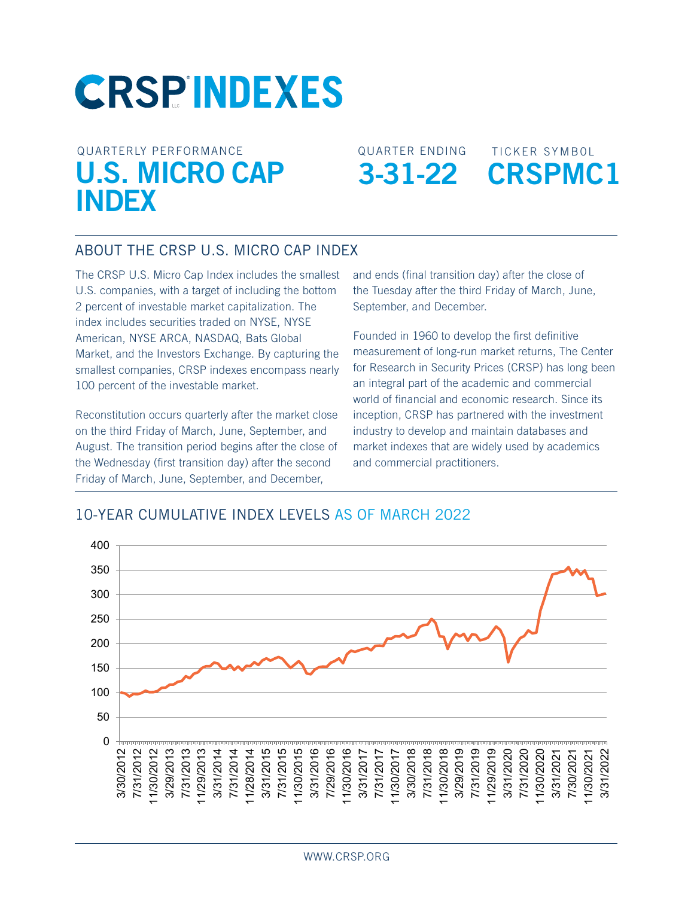# **CRSPINDEXES**

## QUARTERLY PERFORMANCE **U.S. MICRO CAP INDEX**

QUARTER ENDING **3-31-22**



#### ABOUT THE CRSP U.S. Micro Cap Index

The CRSP U.S. Micro Cap Index includes the smallest U.S. companies, with a target of including the bottom 2 percent of investable market capitalization. The index includes securities traded on NYSE, NYSE American, NYSE ARCA, NASDAQ, Bats Global Market, and the Investors Exchange. By capturing the smallest companies, CRSP indexes encompass nearly 100 percent of the investable market.

Reconstitution occurs quarterly after the market close on the third Friday of March, June, September, and August. The transition period begins after the close of the Wednesday (first transition day) after the second Friday of March, June, September, and December,

and ends (final transition day) after the close of the Tuesday after the third Friday of March, June, September, and December.

Founded in 1960 to develop the first definitive measurement of long-run market returns, The Center for Research in Security Prices (CRSP) has long been an integral part of the academic and commercial world of financial and economic research. Since its inception, CRSP has partnered with the investment industry to develop and maintain databases and market indexes that are widely used by academics and commercial practitioners.

## 10-YEAR CUMULATIVE INDEX LEVELS AS OF MARCH 2022 **Micro Cap**

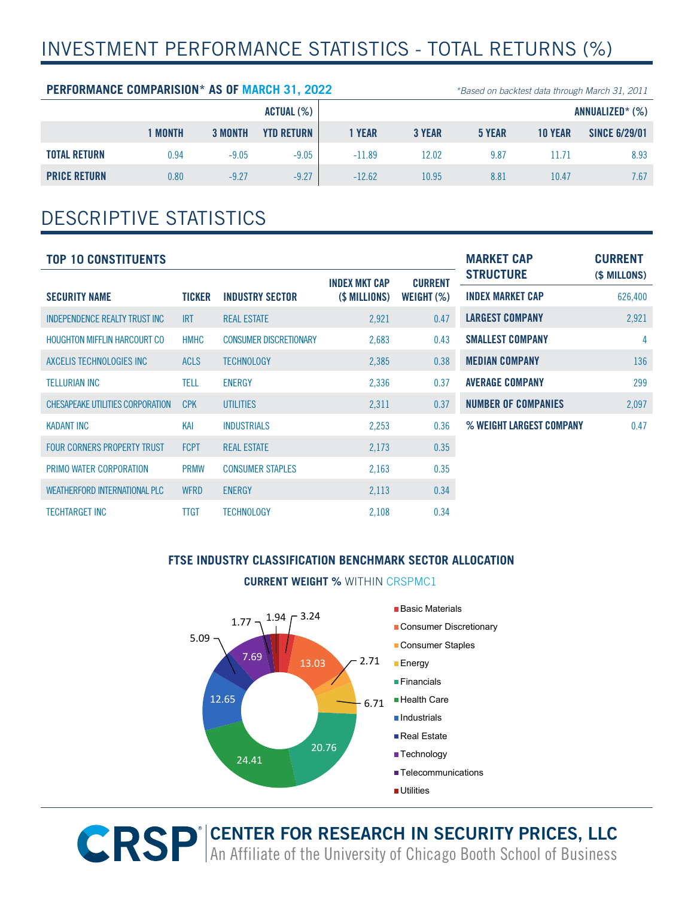## INVESTMENT PERFORMANCE STATISTICS - TOTAL RETURNS (%)

#### **PERFORMANCE COMPARISION\* AS OF MARCH 31, 2022** *\*Based on backtest data through March 31, 2011*

|                     |              |                | ACTUAL (%)        | ANNUALIZED* (%) |               |        |                |                      |
|---------------------|--------------|----------------|-------------------|-----------------|---------------|--------|----------------|----------------------|
|                     | <b>MONTH</b> | <b>3 MONTH</b> | <b>YTD RETURN</b> | <b>YEAR</b>     | <b>3 YEAR</b> | 5 YEAR | <b>10 YEAR</b> | <b>SINCE 6/29/01</b> |
| <b>TOTAL RETURN</b> | 0.94         | $-9.05$        | $-9.05$           | $-11.89$        | 12.02         | 9.87   |                | 8.93                 |
| <b>PRICE RETURN</b> | 0.80         | $-9.27$        | $-9.27$           | $-12.62$        | 10.95         | 8.81   | 10.47          | 7.67                 |

## DESCRIPTIVE STATISTICS

| <b>TOP 10 CONSTITUENTS</b>            | <b>MARKET CAP</b> | <b>CURRENT</b>                |                      |                |                            |              |
|---------------------------------------|-------------------|-------------------------------|----------------------|----------------|----------------------------|--------------|
|                                       |                   |                               | <b>INDEX MKT CAP</b> | <b>CURRENT</b> | <b>STRUCTURE</b>           | (\$ MILLONS) |
| <b>SECURITY NAME</b>                  | TICKER            | <b>INDUSTRY SECTOR</b>        | (\$ MILLIONS)        | WEIGHT $(\%)$  | <b>INDEX MARKET CAP</b>    | 626,400      |
| <b>INDEPENDENCE REALTY TRUST INC.</b> | <b>IRT</b>        | <b>REAL ESTATE</b>            | 2,921                | 0.47           | <b>LARGEST COMPANY</b>     | 2,921        |
| <b>HOUGHTON MIFFLIN HARCOURT CO</b>   | <b>HMHC</b>       | <b>CONSUMER DISCRETIONARY</b> | 2,683                | 0.43           | <b>SMALLEST COMPANY</b>    | 4            |
| AXCELIS TECHNOLOGIES INC              | <b>ACLS</b>       | <b>TECHNOLOGY</b>             | 2,385                | 0.38           | <b>MEDIAN COMPANY</b>      | 136          |
| <b>TELLURIAN INC</b>                  | <b>TELL</b>       | <b>ENERGY</b>                 | 2,336                | 0.37           | <b>AVERAGE COMPANY</b>     | 299          |
| CHESAPEAKE UTILITIES CORPORATION      | <b>CPK</b>        | <b>UTILITIES</b>              | 2,311                | 0.37           | <b>NUMBER OF COMPANIES</b> | 2,097        |
| <b>KADANT INC</b>                     | KAI               | <b>INDUSTRIALS</b>            | 2,253                | 0.36           | % WEIGHT LARGEST COMPANY   | 0.47         |
| <b>FOUR CORNERS PROPERTY TRUST</b>    | <b>FCPT</b>       | <b>REAL ESTATE</b>            | 2,173                | 0.35           |                            |              |
| PRIMO WATER CORPORATION               | <b>PRMW</b>       | <b>CONSUMER STAPLES</b>       | 2,163                | 0.35           |                            |              |
| WEATHERFORD INTERNATIONAL PLC         | <b>WFRD</b>       | <b>ENERGY</b>                 | 2,113                | 0.34           |                            |              |
| <b>TECHTARGET INC</b>                 | <b>TTGT</b>       | <b>TECHNOLOGY</b>             | 2,108                | 0.34           |                            |              |

#### **FTSE INDUSTRY CLASSIFICATION BENCHMARK SECTOR ALLOCATION**

### **CURRENT WEIGHT %** WITHIN CRSPMC1



**R CENTER FOR RESEARCH IN SECURITY PRICES, LLC** An Affiliate of the University of Chicago Booth School of Business